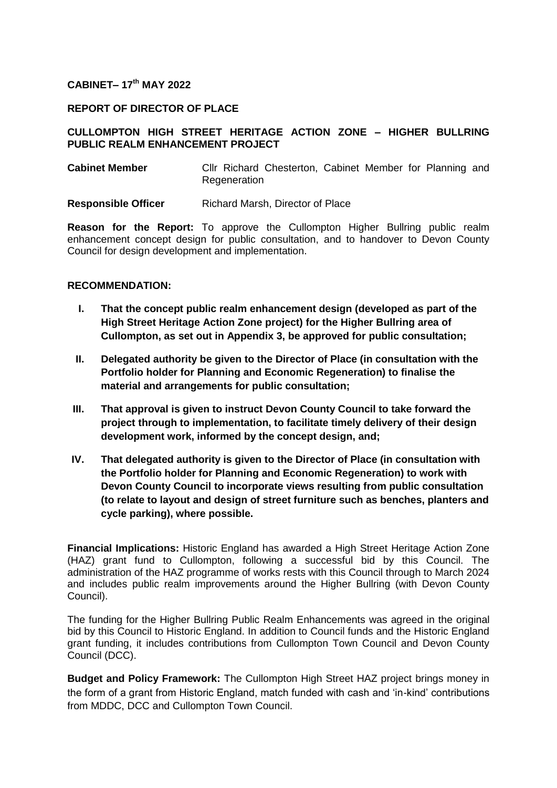### **CABINET– 17th MAY 2022**

### **REPORT OF DIRECTOR OF PLACE**

## **CULLOMPTON HIGH STREET HERITAGE ACTION ZONE – HIGHER BULLRING PUBLIC REALM ENHANCEMENT PROJECT**

| <b>Cabinet Member</b> |              | Cllr Richard Chesterton, Cabinet Member for Planning and |  |  |  |
|-----------------------|--------------|----------------------------------------------------------|--|--|--|
|                       | Regeneration |                                                          |  |  |  |

**Responsible Officer** Richard Marsh, Director of Place

**Reason for the Report:** To approve the Cullompton Higher Bullring public realm enhancement concept design for public consultation, and to handover to Devon County Council for design development and implementation.

## **RECOMMENDATION:**

- **I. That the concept public realm enhancement design (developed as part of the High Street Heritage Action Zone project) for the Higher Bullring area of Cullompton, as set out in Appendix 3, be approved for public consultation;**
- **II. Delegated authority be given to the Director of Place (in consultation with the Portfolio holder for Planning and Economic Regeneration) to finalise the material and arrangements for public consultation;**
- **III. That approval is given to instruct Devon County Council to take forward the project through to implementation, to facilitate timely delivery of their design development work, informed by the concept design, and;**
- **IV. That delegated authority is given to the Director of Place (in consultation with the Portfolio holder for Planning and Economic Regeneration) to work with Devon County Council to incorporate views resulting from public consultation (to relate to layout and design of street furniture such as benches, planters and cycle parking), where possible.**

**Financial Implications:** Historic England has awarded a High Street Heritage Action Zone (HAZ) grant fund to Cullompton, following a successful bid by this Council. The administration of the HAZ programme of works rests with this Council through to March 2024 and includes public realm improvements around the Higher Bullring (with Devon County Council).

The funding for the Higher Bullring Public Realm Enhancements was agreed in the original bid by this Council to Historic England. In addition to Council funds and the Historic England grant funding, it includes contributions from Cullompton Town Council and Devon County Council (DCC).

**Budget and Policy Framework:** The Cullompton High Street HAZ project brings money in the form of a grant from Historic England, match funded with cash and 'in-kind' contributions from MDDC, DCC and Cullompton Town Council.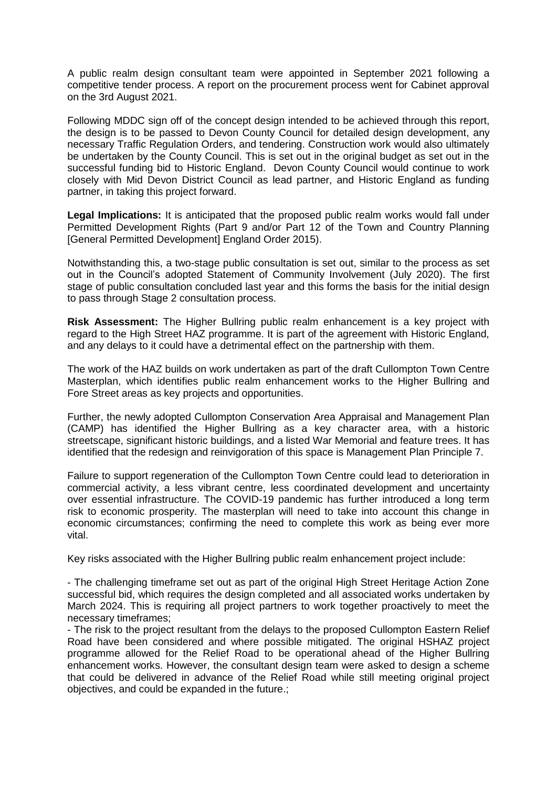A public realm design consultant team were appointed in September 2021 following a competitive tender process. A report on the procurement process went for Cabinet approval on the 3rd August 2021.

Following MDDC sign off of the concept design intended to be achieved through this report, the design is to be passed to Devon County Council for detailed design development, any necessary Traffic Regulation Orders, and tendering. Construction work would also ultimately be undertaken by the County Council. This is set out in the original budget as set out in the successful funding bid to Historic England. Devon County Council would continue to work closely with Mid Devon District Council as lead partner, and Historic England as funding partner, in taking this project forward.

Legal Implications: It is anticipated that the proposed public realm works would fall under Permitted Development Rights (Part 9 and/or Part 12 of the Town and Country Planning [General Permitted Development] England Order 2015).

Notwithstanding this, a two-stage public consultation is set out, similar to the process as set out in the Council's adopted Statement of Community Involvement (July 2020). The first stage of public consultation concluded last year and this forms the basis for the initial design to pass through Stage 2 consultation process.

**Risk Assessment:** The Higher Bullring public realm enhancement is a key project with regard to the High Street HAZ programme. It is part of the agreement with Historic England, and any delays to it could have a detrimental effect on the partnership with them.

The work of the HAZ builds on work undertaken as part of the draft Cullompton Town Centre Masterplan, which identifies public realm enhancement works to the Higher Bullring and Fore Street areas as key projects and opportunities.

Further, the newly adopted Cullompton Conservation Area Appraisal and Management Plan (CAMP) has identified the Higher Bullring as a key character area, with a historic streetscape, significant historic buildings, and a listed War Memorial and feature trees. It has identified that the redesign and reinvigoration of this space is Management Plan Principle 7.

Failure to support regeneration of the Cullompton Town Centre could lead to deterioration in commercial activity, a less vibrant centre, less coordinated development and uncertainty over essential infrastructure. The COVID-19 pandemic has further introduced a long term risk to economic prosperity. The masterplan will need to take into account this change in economic circumstances; confirming the need to complete this work as being ever more vital.

Key risks associated with the Higher Bullring public realm enhancement project include:

- The challenging timeframe set out as part of the original High Street Heritage Action Zone successful bid, which requires the design completed and all associated works undertaken by March 2024. This is requiring all project partners to work together proactively to meet the necessary timeframes;

- The risk to the project resultant from the delays to the proposed Cullompton Eastern Relief Road have been considered and where possible mitigated. The original HSHAZ project programme allowed for the Relief Road to be operational ahead of the Higher Bullring enhancement works. However, the consultant design team were asked to design a scheme that could be delivered in advance of the Relief Road while still meeting original project objectives, and could be expanded in the future.;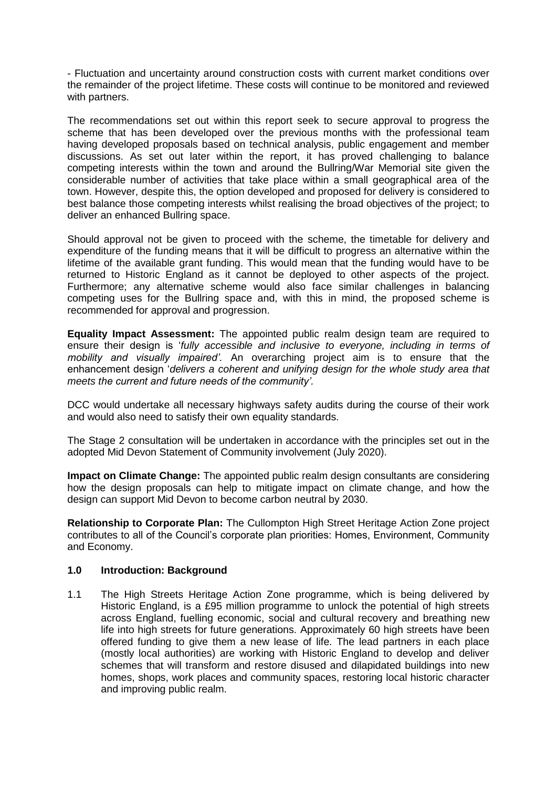- Fluctuation and uncertainty around construction costs with current market conditions over the remainder of the project lifetime. These costs will continue to be monitored and reviewed with partners.

The recommendations set out within this report seek to secure approval to progress the scheme that has been developed over the previous months with the professional team having developed proposals based on technical analysis, public engagement and member discussions. As set out later within the report, it has proved challenging to balance competing interests within the town and around the Bullring/War Memorial site given the considerable number of activities that take place within a small geographical area of the town. However, despite this, the option developed and proposed for delivery is considered to best balance those competing interests whilst realising the broad objectives of the project; to deliver an enhanced Bullring space.

Should approval not be given to proceed with the scheme, the timetable for delivery and expenditure of the funding means that it will be difficult to progress an alternative within the lifetime of the available grant funding. This would mean that the funding would have to be returned to Historic England as it cannot be deployed to other aspects of the project. Furthermore; any alternative scheme would also face similar challenges in balancing competing uses for the Bullring space and, with this in mind, the proposed scheme is recommended for approval and progression.

**Equality Impact Assessment:** The appointed public realm design team are required to ensure their design is '*fully accessible and inclusive to everyone, including in terms of mobility and visually impaired'.* An overarching project aim is to ensure that the enhancement design '*delivers a coherent and unifying design for the whole study area that meets the current and future needs of the community'.*

DCC would undertake all necessary highways safety audits during the course of their work and would also need to satisfy their own equality standards.

The Stage 2 consultation will be undertaken in accordance with the principles set out in the adopted Mid Devon Statement of Community involvement (July 2020).

**Impact on Climate Change:** The appointed public realm design consultants are considering how the design proposals can help to mitigate impact on climate change, and how the design can support Mid Devon to become carbon neutral by 2030.

**Relationship to Corporate Plan:** The Cullompton High Street Heritage Action Zone project contributes to all of the Council's corporate plan priorities: Homes, Environment, Community and Economy.

#### **1.0 Introduction: Background**

1.1 The High Streets Heritage Action Zone programme, which is being delivered by Historic England, is a £95 million programme to unlock the potential of high streets across England, fuelling economic, social and cultural recovery and breathing new life into high streets for future generations. Approximately 60 high streets have been offered funding to give them a new lease of life. The lead partners in each place (mostly local authorities) are working with Historic England to develop and deliver schemes that will transform and restore disused and dilapidated buildings into new homes, shops, work places and community spaces, restoring local historic character and improving public realm.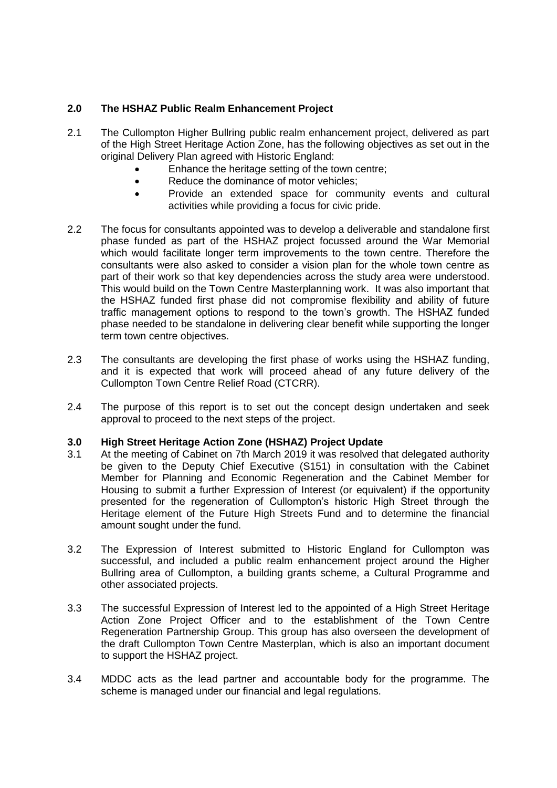## **2.0 The HSHAZ Public Realm Enhancement Project**

- 2.1 The Cullompton Higher Bullring public realm enhancement project, delivered as part of the High Street Heritage Action Zone, has the following objectives as set out in the original Delivery Plan agreed with Historic England:
	- Enhance the heritage setting of the town centre;
	- Reduce the dominance of motor vehicles;
	- Provide an extended space for community events and cultural activities while providing a focus for civic pride.
- 2.2 The focus for consultants appointed was to develop a deliverable and standalone first phase funded as part of the HSHAZ project focussed around the War Memorial which would facilitate longer term improvements to the town centre. Therefore the consultants were also asked to consider a vision plan for the whole town centre as part of their work so that key dependencies across the study area were understood. This would build on the Town Centre Masterplanning work. It was also important that the HSHAZ funded first phase did not compromise flexibility and ability of future traffic management options to respond to the town's growth. The HSHAZ funded phase needed to be standalone in delivering clear benefit while supporting the longer term town centre objectives.
- 2.3 The consultants are developing the first phase of works using the HSHAZ funding, and it is expected that work will proceed ahead of any future delivery of the Cullompton Town Centre Relief Road (CTCRR).
- 2.4 The purpose of this report is to set out the concept design undertaken and seek approval to proceed to the next steps of the project.

#### **3.0 High Street Heritage Action Zone (HSHAZ) Project Update**

- 3.1 At the meeting of Cabinet on 7th March 2019 it was resolved that delegated authority be given to the Deputy Chief Executive (S151) in consultation with the Cabinet Member for Planning and Economic Regeneration and the Cabinet Member for Housing to submit a further Expression of Interest (or equivalent) if the opportunity presented for the regeneration of Cullompton's historic High Street through the Heritage element of the Future High Streets Fund and to determine the financial amount sought under the fund.
- 3.2 The Expression of Interest submitted to Historic England for Cullompton was successful, and included a public realm enhancement project around the Higher Bullring area of Cullompton, a building grants scheme, a Cultural Programme and other associated projects.
- 3.3 The successful Expression of Interest led to the appointed of a High Street Heritage Action Zone Project Officer and to the establishment of the Town Centre Regeneration Partnership Group. This group has also overseen the development of the draft Cullompton Town Centre Masterplan, which is also an important document to support the HSHAZ project.
- 3.4 MDDC acts as the lead partner and accountable body for the programme. The scheme is managed under our financial and legal regulations.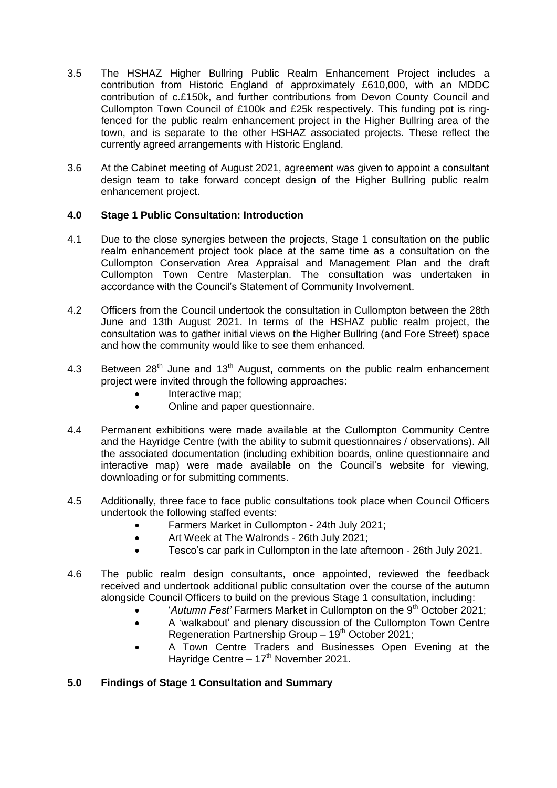- 3.5 The HSHAZ Higher Bullring Public Realm Enhancement Project includes a contribution from Historic England of approximately £610,000, with an MDDC contribution of c.£150k, and further contributions from Devon County Council and Cullompton Town Council of £100k and £25k respectively. This funding pot is ringfenced for the public realm enhancement project in the Higher Bullring area of the town, and is separate to the other HSHAZ associated projects. These reflect the currently agreed arrangements with Historic England.
- 3.6 At the Cabinet meeting of August 2021, agreement was given to appoint a consultant design team to take forward concept design of the Higher Bullring public realm enhancement project.

## **4.0 Stage 1 Public Consultation: Introduction**

- 4.1 Due to the close synergies between the projects, Stage 1 consultation on the public realm enhancement project took place at the same time as a consultation on the Cullompton Conservation Area Appraisal and Management Plan and the draft Cullompton Town Centre Masterplan. The consultation was undertaken in accordance with the Council's Statement of Community Involvement.
- 4.2 Officers from the Council undertook the consultation in Cullompton between the 28th June and 13th August 2021. In terms of the HSHAZ public realm project, the consultation was to gather initial views on the Higher Bullring (and Fore Street) space and how the community would like to see them enhanced.
- 4.3 Between  $28<sup>th</sup>$  June and 13<sup>th</sup> August, comments on the public realm enhancement project were invited through the following approaches:
	- Interactive map;
	- Online and paper questionnaire.
- 4.4 Permanent exhibitions were made available at the Cullompton Community Centre and the Hayridge Centre (with the ability to submit questionnaires / observations). All the associated documentation (including exhibition boards, online questionnaire and interactive map) were made available on the Council's website for viewing, downloading or for submitting comments.
- 4.5 Additionally, three face to face public consultations took place when Council Officers undertook the following staffed events:
	- Farmers Market in Cullompton 24th July 2021;
	- Art Week at The Walronds 26th July 2021;
	- Tesco's car park in Cullompton in the late afternoon 26th July 2021.
- 4.6 The public realm design consultants, once appointed, reviewed the feedback received and undertook additional public consultation over the course of the autumn alongside Council Officers to build on the previous Stage 1 consultation, including:
	- '*Autumn Fest'* Farmers Market in Cullompton on the 9<sup>th</sup> October 2021;
	- A 'walkabout' and plenary discussion of the Cullompton Town Centre Regeneration Partnership Group  $-19<sup>th</sup>$  October 2021;
	- A Town Centre Traders and Businesses Open Evening at the Hayridge Centre –  $17<sup>th</sup>$  November 2021.

# **5.0 Findings of Stage 1 Consultation and Summary**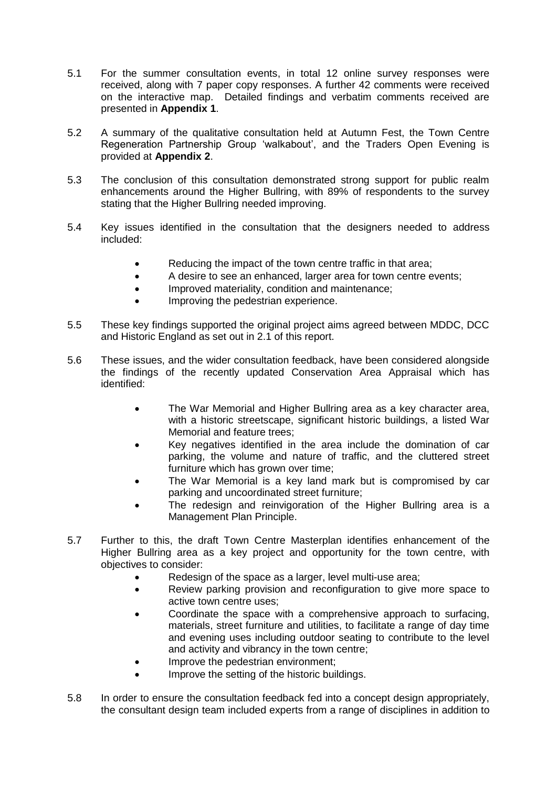- 5.1 For the summer consultation events, in total 12 online survey responses were received, along with 7 paper copy responses. A further 42 comments were received on the interactive map. Detailed findings and verbatim comments received are presented in **Appendix 1**.
- 5.2 A summary of the qualitative consultation held at Autumn Fest, the Town Centre Regeneration Partnership Group 'walkabout', and the Traders Open Evening is provided at **Appendix 2**.
- 5.3 The conclusion of this consultation demonstrated strong support for public realm enhancements around the Higher Bullring, with 89% of respondents to the survey stating that the Higher Bullring needed improving.
- 5.4 Key issues identified in the consultation that the designers needed to address included:
	- Reducing the impact of the town centre traffic in that area;
	- A desire to see an enhanced, larger area for town centre events;
	- Improved materiality, condition and maintenance;
	- Improving the pedestrian experience.
- 5.5 These key findings supported the original project aims agreed between MDDC, DCC and Historic England as set out in 2.1 of this report.
- 5.6 These issues, and the wider consultation feedback, have been considered alongside the findings of the recently updated Conservation Area Appraisal which has identified:
	- The War Memorial and Higher Bullring area as a key character area, with a historic streetscape, significant historic buildings, a listed War Memorial and feature trees;
	- Key negatives identified in the area include the domination of car parking, the volume and nature of traffic, and the cluttered street furniture which has grown over time;
	- The War Memorial is a key land mark but is compromised by car parking and uncoordinated street furniture;
	- The redesign and reinvigoration of the Higher Bullring area is a Management Plan Principle.
- 5.7 Further to this, the draft Town Centre Masterplan identifies enhancement of the Higher Bullring area as a key project and opportunity for the town centre, with objectives to consider:
	- Redesign of the space as a larger, level multi-use area;
	- Review parking provision and reconfiguration to give more space to active town centre uses;
	- Coordinate the space with a comprehensive approach to surfacing, materials, street furniture and utilities, to facilitate a range of day time and evening uses including outdoor seating to contribute to the level and activity and vibrancy in the town centre;
	- Improve the pedestrian environment;
	- Improve the setting of the historic buildings.
- 5.8 In order to ensure the consultation feedback fed into a concept design appropriately, the consultant design team included experts from a range of disciplines in addition to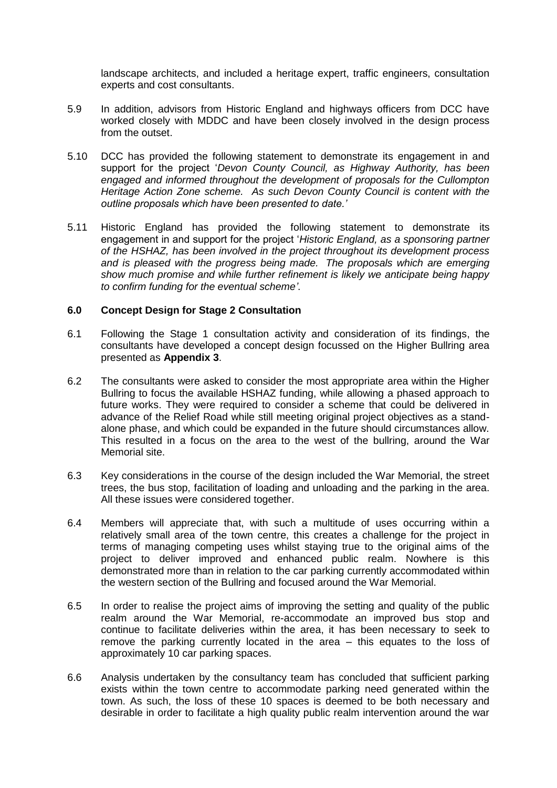landscape architects, and included a heritage expert, traffic engineers, consultation experts and cost consultants.

- 5.9 In addition, advisors from Historic England and highways officers from DCC have worked closely with MDDC and have been closely involved in the design process from the outset.
- 5.10 DCC has provided the following statement to demonstrate its engagement in and support for the project '*Devon County Council, as Highway Authority, has been engaged and informed throughout the development of proposals for the Cullompton Heritage Action Zone scheme. As such Devon County Council is content with the outline proposals which have been presented to date.'*
- 5.11 Historic England has provided the following statement to demonstrate its engagement in and support for the project '*Historic England, as a sponsoring partner of the HSHAZ, has been involved in the project throughout its development process and is pleased with the progress being made. The proposals which are emerging show much promise and while further refinement is likely we anticipate being happy to confirm funding for the eventual scheme'*.

### **6.0 Concept Design for Stage 2 Consultation**

- 6.1 Following the Stage 1 consultation activity and consideration of its findings, the consultants have developed a concept design focussed on the Higher Bullring area presented as **Appendix 3**.
- 6.2 The consultants were asked to consider the most appropriate area within the Higher Bullring to focus the available HSHAZ funding, while allowing a phased approach to future works. They were required to consider a scheme that could be delivered in advance of the Relief Road while still meeting original project objectives as a standalone phase, and which could be expanded in the future should circumstances allow. This resulted in a focus on the area to the west of the bullring, around the War Memorial site.
- 6.3 Key considerations in the course of the design included the War Memorial, the street trees, the bus stop, facilitation of loading and unloading and the parking in the area. All these issues were considered together.
- 6.4 Members will appreciate that, with such a multitude of uses occurring within a relatively small area of the town centre, this creates a challenge for the project in terms of managing competing uses whilst staying true to the original aims of the project to deliver improved and enhanced public realm. Nowhere is this demonstrated more than in relation to the car parking currently accommodated within the western section of the Bullring and focused around the War Memorial.
- 6.5 In order to realise the project aims of improving the setting and quality of the public realm around the War Memorial, re-accommodate an improved bus stop and continue to facilitate deliveries within the area, it has been necessary to seek to remove the parking currently located in the area – this equates to the loss of approximately 10 car parking spaces.
- 6.6 Analysis undertaken by the consultancy team has concluded that sufficient parking exists within the town centre to accommodate parking need generated within the town. As such, the loss of these 10 spaces is deemed to be both necessary and desirable in order to facilitate a high quality public realm intervention around the war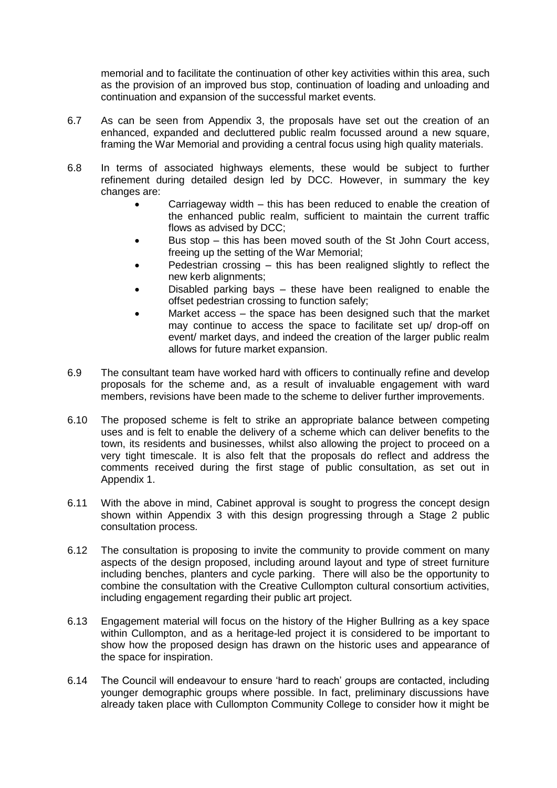memorial and to facilitate the continuation of other key activities within this area, such as the provision of an improved bus stop, continuation of loading and unloading and continuation and expansion of the successful market events.

- 6.7 As can be seen from Appendix 3, the proposals have set out the creation of an enhanced, expanded and decluttered public realm focussed around a new square, framing the War Memorial and providing a central focus using high quality materials.
- 6.8 In terms of associated highways elements, these would be subject to further refinement during detailed design led by DCC. However, in summary the key changes are:
	- Carriageway width this has been reduced to enable the creation of the enhanced public realm, sufficient to maintain the current traffic flows as advised by DCC;
	- Bus stop this has been moved south of the St John Court access, freeing up the setting of the War Memorial;
	- Pedestrian crossing this has been realigned slightly to reflect the new kerb alignments;
	- Disabled parking bays these have been realigned to enable the offset pedestrian crossing to function safely;
	- Market access the space has been designed such that the market may continue to access the space to facilitate set up/ drop-off on event/ market days, and indeed the creation of the larger public realm allows for future market expansion.
- 6.9 The consultant team have worked hard with officers to continually refine and develop proposals for the scheme and, as a result of invaluable engagement with ward members, revisions have been made to the scheme to deliver further improvements.
- 6.10 The proposed scheme is felt to strike an appropriate balance between competing uses and is felt to enable the delivery of a scheme which can deliver benefits to the town, its residents and businesses, whilst also allowing the project to proceed on a very tight timescale. It is also felt that the proposals do reflect and address the comments received during the first stage of public consultation, as set out in Appendix 1.
- 6.11 With the above in mind, Cabinet approval is sought to progress the concept design shown within Appendix 3 with this design progressing through a Stage 2 public consultation process.
- 6.12 The consultation is proposing to invite the community to provide comment on many aspects of the design proposed, including around layout and type of street furniture including benches, planters and cycle parking. There will also be the opportunity to combine the consultation with the Creative Cullompton cultural consortium activities, including engagement regarding their public art project.
- 6.13 Engagement material will focus on the history of the Higher Bullring as a key space within Cullompton, and as a heritage-led project it is considered to be important to show how the proposed design has drawn on the historic uses and appearance of the space for inspiration.
- 6.14 The Council will endeavour to ensure 'hard to reach' groups are contacted, including younger demographic groups where possible. In fact, preliminary discussions have already taken place with Cullompton Community College to consider how it might be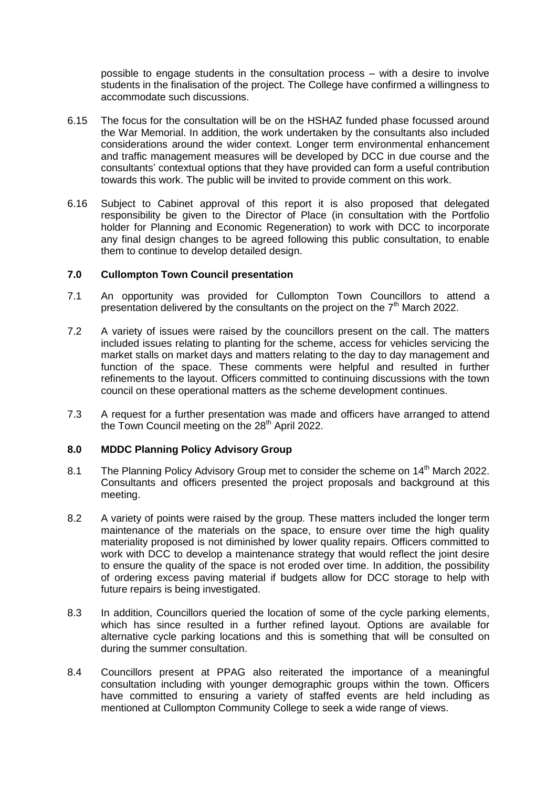possible to engage students in the consultation process – with a desire to involve students in the finalisation of the project. The College have confirmed a willingness to accommodate such discussions.

- 6.15 The focus for the consultation will be on the HSHAZ funded phase focussed around the War Memorial. In addition, the work undertaken by the consultants also included considerations around the wider context. Longer term environmental enhancement and traffic management measures will be developed by DCC in due course and the consultants' contextual options that they have provided can form a useful contribution towards this work. The public will be invited to provide comment on this work.
- 6.16 Subject to Cabinet approval of this report it is also proposed that delegated responsibility be given to the Director of Place (in consultation with the Portfolio holder for Planning and Economic Regeneration) to work with DCC to incorporate any final design changes to be agreed following this public consultation, to enable them to continue to develop detailed design.

### **7.0 Cullompton Town Council presentation**

- 7.1 An opportunity was provided for Cullompton Town Councillors to attend a presentation delivered by the consultants on the project on the  $7<sup>th</sup>$  March 2022.
- 7.2 A variety of issues were raised by the councillors present on the call. The matters included issues relating to planting for the scheme, access for vehicles servicing the market stalls on market days and matters relating to the day to day management and function of the space. These comments were helpful and resulted in further refinements to the layout. Officers committed to continuing discussions with the town council on these operational matters as the scheme development continues.
- 7.3 A request for a further presentation was made and officers have arranged to attend the Town Council meeting on the  $28<sup>th</sup>$  April 2022.

#### **8.0 MDDC Planning Policy Advisory Group**

- 8.1 The Planning Policy Advisory Group met to consider the scheme on 14<sup>th</sup> March 2022. Consultants and officers presented the project proposals and background at this meeting.
- 8.2 A variety of points were raised by the group. These matters included the longer term maintenance of the materials on the space, to ensure over time the high quality materiality proposed is not diminished by lower quality repairs. Officers committed to work with DCC to develop a maintenance strategy that would reflect the joint desire to ensure the quality of the space is not eroded over time. In addition, the possibility of ordering excess paving material if budgets allow for DCC storage to help with future repairs is being investigated.
- 8.3 In addition, Councillors queried the location of some of the cycle parking elements, which has since resulted in a further refined layout. Options are available for alternative cycle parking locations and this is something that will be consulted on during the summer consultation.
- 8.4 Councillors present at PPAG also reiterated the importance of a meaningful consultation including with younger demographic groups within the town. Officers have committed to ensuring a variety of staffed events are held including as mentioned at Cullompton Community College to seek a wide range of views.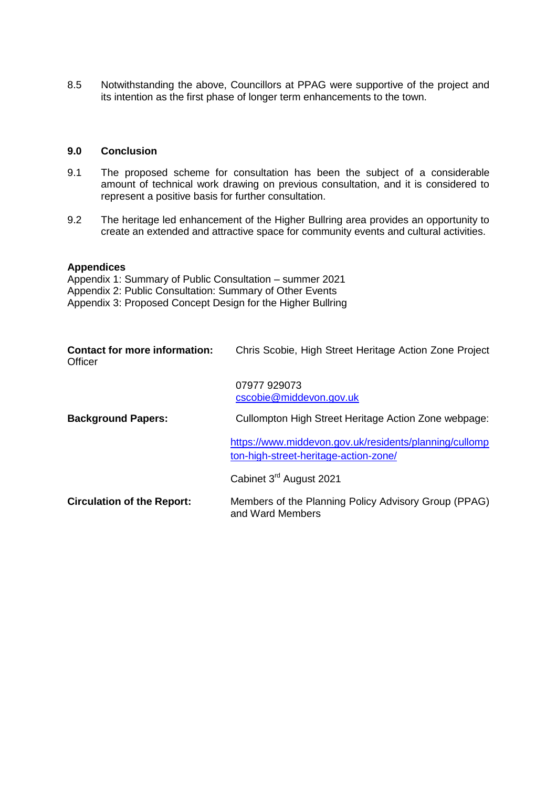8.5 Notwithstanding the above, Councillors at PPAG were supportive of the project and its intention as the first phase of longer term enhancements to the town.

## **9.0 Conclusion**

- 9.1 The proposed scheme for consultation has been the subject of a considerable amount of technical work drawing on previous consultation, and it is considered to represent a positive basis for further consultation.
- 9.2 The heritage led enhancement of the Higher Bullring area provides an opportunity to create an extended and attractive space for community events and cultural activities.

#### **Appendices**

Appendix 1: Summary of Public Consultation – summer 2021 Appendix 2: Public Consultation: Summary of Other Events Appendix 3: Proposed Concept Design for the Higher Bullring

| <b>Contact for more information:</b><br>Officer | Chris Scobie, High Street Heritage Action Zone Project                                          |
|-------------------------------------------------|-------------------------------------------------------------------------------------------------|
|                                                 | 07977 929073<br>cscobie@middevon.gov.uk                                                         |
| <b>Background Papers:</b>                       | Cullompton High Street Heritage Action Zone webpage:                                            |
|                                                 | https://www.middevon.gov.uk/residents/planning/cullomp<br>ton-high-street-heritage-action-zone/ |
|                                                 | Cabinet 3 <sup>rd</sup> August 2021                                                             |
| <b>Circulation of the Report:</b>               | Members of the Planning Policy Advisory Group (PPAG)<br>and Ward Members                        |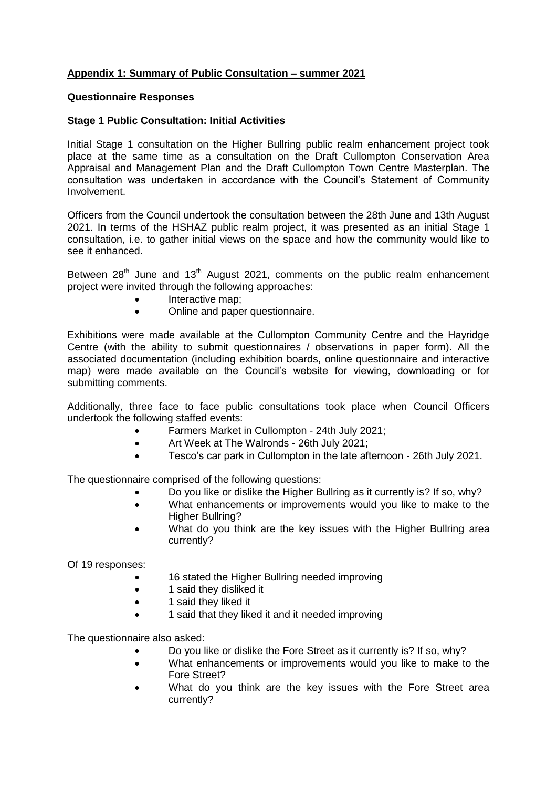## **Appendix 1: Summary of Public Consultation – summer 2021**

#### **Questionnaire Responses**

### **Stage 1 Public Consultation: Initial Activities**

Initial Stage 1 consultation on the Higher Bullring public realm enhancement project took place at the same time as a consultation on the Draft Cullompton Conservation Area Appraisal and Management Plan and the Draft Cullompton Town Centre Masterplan. The consultation was undertaken in accordance with the Council's Statement of Community Involvement.

Officers from the Council undertook the consultation between the 28th June and 13th August 2021. In terms of the HSHAZ public realm project, it was presented as an initial Stage 1 consultation, i.e. to gather initial views on the space and how the community would like to see it enhanced.

Between  $28<sup>th</sup>$  June and  $13<sup>th</sup>$  August 2021, comments on the public realm enhancement project were invited through the following approaches:

- Interactive map;
- Online and paper questionnaire.

Exhibitions were made available at the Cullompton Community Centre and the Hayridge Centre (with the ability to submit questionnaires / observations in paper form). All the associated documentation (including exhibition boards, online questionnaire and interactive map) were made available on the Council's website for viewing, downloading or for submitting comments.

Additionally, three face to face public consultations took place when Council Officers undertook the following staffed events:

- Farmers Market in Cullompton 24th July 2021;
- Art Week at The Walronds 26th July 2021;
- Tesco's car park in Cullompton in the late afternoon 26th July 2021.

The questionnaire comprised of the following questions:

- Do you like or dislike the Higher Bullring as it currently is? If so, why?
- What enhancements or improvements would you like to make to the Higher Bullring?
- What do you think are the key issues with the Higher Bullring area currently?

Of 19 responses:

- 16 stated the Higher Bullring needed improving
- 1 said they disliked it
- 1 said they liked it
- 1 said that they liked it and it needed improving

The questionnaire also asked:

- Do you like or dislike the Fore Street as it currently is? If so, why?
- What enhancements or improvements would you like to make to the Fore Street?
- What do you think are the key issues with the Fore Street area currently?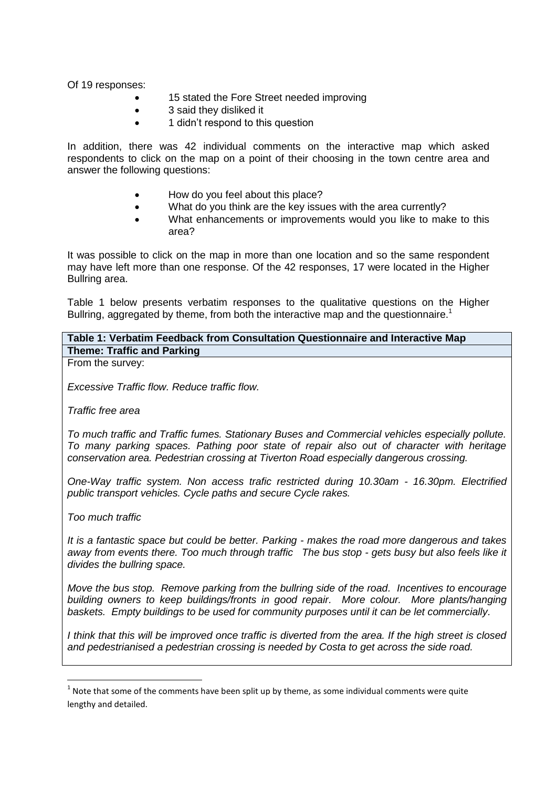Of 19 responses:

- 15 stated the Fore Street needed improving
- 3 said they disliked it
- 1 didn't respond to this question

In addition, there was 42 individual comments on the interactive map which asked respondents to click on the map on a point of their choosing in the town centre area and answer the following questions:

- How do you feel about this place?
- What do you think are the key issues with the area currently?
- What enhancements or improvements would you like to make to this area?

It was possible to click on the map in more than one location and so the same respondent may have left more than one response. Of the 42 responses, 17 were located in the Higher Bullring area.

Table 1 below presents verbatim responses to the qualitative questions on the Higher Bullring, aggregated by theme, from both the interactive map and the questionnaire.<sup>1</sup>

## **Table 1: Verbatim Feedback from Consultation Questionnaire and Interactive Map Theme: Traffic and Parking**

From the survey:

*Excessive Traffic flow. Reduce traffic flow.* 

*Traffic free area*

*To much traffic and Traffic fumes. Stationary Buses and Commercial vehicles especially pollute. To many parking spaces. Pathing poor state of repair also out of character with heritage conservation area. Pedestrian crossing at Tiverton Road especially dangerous crossing.* 

*One-Way traffic system. Non access trafic restricted during 10.30am - 16.30pm. Electrified public transport vehicles. Cycle paths and secure Cycle rakes.* 

*Too much traffic* 

**.** 

*It is a fantastic space but could be better. Parking - makes the road more dangerous and takes away from events there. Too much through traffic The bus stop - gets busy but also feels like it divides the bullring space.* 

*Move the bus stop. Remove parking from the bullring side of the road. Incentives to encourage building owners to keep buildings/fronts in good repair. More colour. More plants/hanging baskets. Empty buildings to be used for community purposes until it can be let commercially.*

*I think that this will be improved once traffic is diverted from the area. If the high street is closed and pedestrianised a pedestrian crossing is needed by Costa to get across the side road.* 

 $1$  Note that some of the comments have been split up by theme, as some individual comments were quite lengthy and detailed.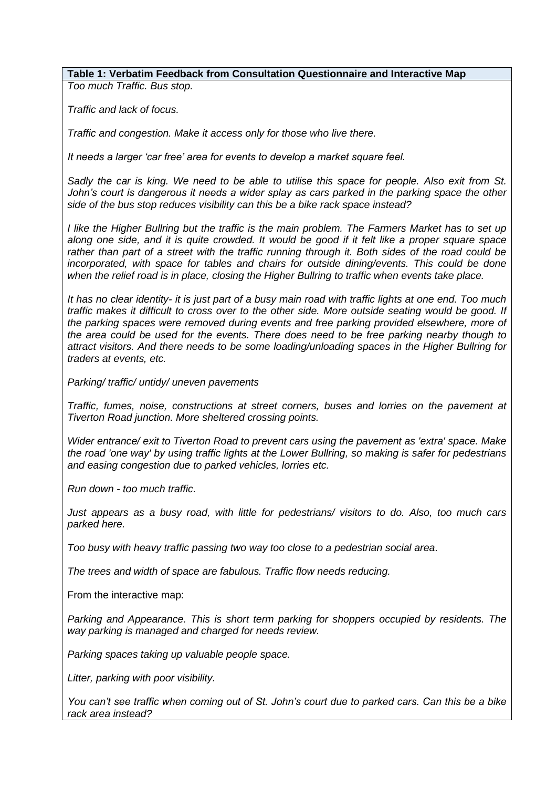*Too much Traffic. Bus stop.* 

*Traffic and lack of focus.*

*Traffic and congestion. Make it access only for those who live there.*

*It needs a larger 'car free' area for events to develop a market square feel.* 

*Sadly the car is king. We need to be able to utilise this space for people. Also exit from St. John's court is dangerous it needs a wider splay as cars parked in the parking space the other side of the bus stop reduces visibility can this be a bike rack space instead?* 

*I like the Higher Bullring but the traffic is the main problem. The Farmers Market has to set up along one side, and it is quite crowded. It would be good if it felt like a proper square space rather than part of a street with the traffic running through it. Both sides of the road could be incorporated, with space for tables and chairs for outside dining/events. This could be done when the relief road is in place, closing the Higher Bullring to traffic when events take place.*

*It has no clear identity- it is just part of a busy main road with traffic lights at one end. Too much traffic makes it difficult to cross over to the other side. More outside seating would be good. If the parking spaces were removed during events and free parking provided elsewhere, more of the area could be used for the events. There does need to be free parking nearby though to attract visitors. And there needs to be some loading/unloading spaces in the Higher Bullring for traders at events, etc.* 

*Parking/ traffic/ untidy/ uneven pavements*

*Traffic, fumes, noise, constructions at street corners, buses and lorries on the pavement at Tiverton Road junction. More sheltered crossing points.* 

*Wider entrance/ exit to Tiverton Road to prevent cars using the pavement as 'extra' space. Make the road 'one way' by using traffic lights at the Lower Bullring, so making is safer for pedestrians and easing congestion due to parked vehicles, lorries etc.* 

*Run down - too much traffic.*

*Just appears as a busy road, with little for pedestrians/ visitors to do. Also, too much cars parked here.* 

*Too busy with heavy traffic passing two way too close to a pedestrian social area.* 

*The trees and width of space are fabulous. Traffic flow needs reducing.* 

From the interactive map:

*Parking and Appearance. This is short term parking for shoppers occupied by residents. The way parking is managed and charged for needs review.* 

*Parking spaces taking up valuable people space.*

*Litter, parking with poor visibility.*

*You can't see traffic when coming out of St. John's court due to parked cars. Can this be a bike rack area instead?*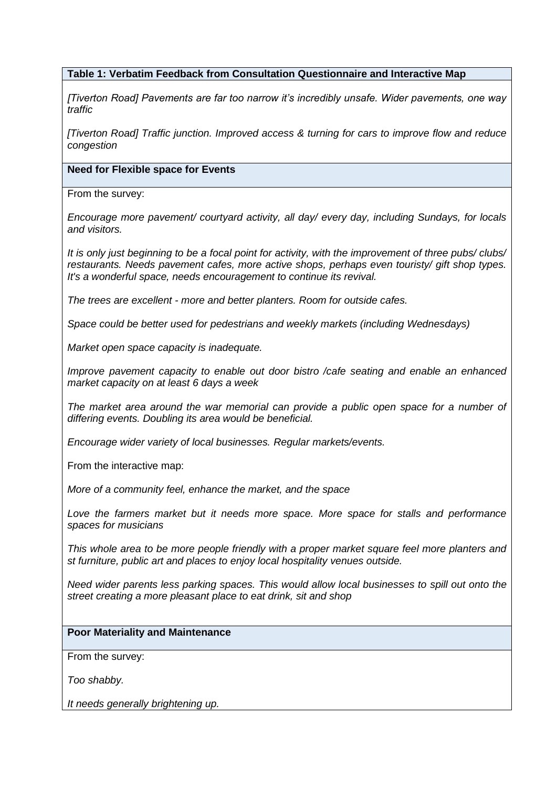*[Tiverton Road] Pavements are far too narrow it's incredibly unsafe. Wider pavements, one way traffic*

*[Tiverton Road] Traffic junction. Improved access & turning for cars to improve flow and reduce congestion*

#### **Need for Flexible space for Events**

From the survey:

*Encourage more pavement/ courtyard activity, all day/ every day, including Sundays, for locals and visitors.* 

*It is only just beginning to be a focal point for activity, with the improvement of three pubs/ clubs/ restaurants. Needs pavement cafes, more active shops, perhaps even touristy/ gift shop types. It's a wonderful space, needs encouragement to continue its revival.* 

*The trees are excellent - more and better planters. Room for outside cafes.* 

*Space could be better used for pedestrians and weekly markets (including Wednesdays)*

*Market open space capacity is inadequate.* 

*Improve pavement capacity to enable out door bistro /cafe seating and enable an enhanced market capacity on at least 6 days a week* 

*The market area around the war memorial can provide a public open space for a number of differing events. Doubling its area would be beneficial.*

*Encourage wider variety of local businesses. Regular markets/events.*

From the interactive map:

*More of a community feel, enhance the market, and the space*

Love the farmers market but it needs more space. More space for stalls and performance *spaces for musicians*

*This whole area to be more people friendly with a proper market square feel more planters and st furniture, public art and places to enjoy local hospitality venues outside.* 

*Need wider parents less parking spaces. This would allow local businesses to spill out onto the street creating a more pleasant place to eat drink, sit and shop*

## **Poor Materiality and Maintenance**

From the survey:

*Too shabby.*

*It needs generally brightening up.*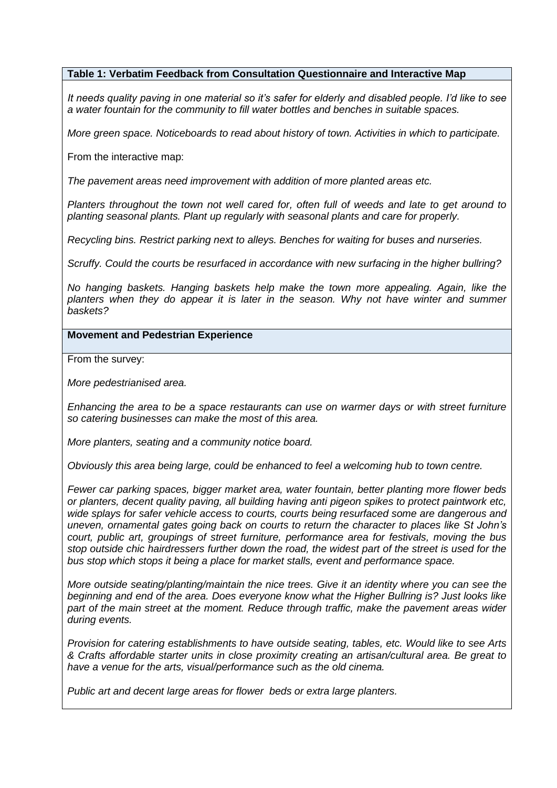*It needs quality paving in one material so it's safer for elderly and disabled people. I'd like to see a water fountain for the community to fill water bottles and benches in suitable spaces.*

*More green space. Noticeboards to read about history of town. Activities in which to participate.*

From the interactive map:

*The pavement areas need improvement with addition of more planted areas etc.* 

*Planters throughout the town not well cared for, often full of weeds and late to get around to planting seasonal plants. Plant up regularly with seasonal plants and care for properly.*

*Recycling bins. Restrict parking next to alleys. Benches for waiting for buses and nurseries.*

*Scruffy. Could the courts be resurfaced in accordance with new surfacing in the higher bullring?*

*No hanging baskets. Hanging baskets help make the town more appealing. Again, like the planters when they do appear it is later in the season. Why not have winter and summer baskets?*

### **Movement and Pedestrian Experience**

From the survey:

*More pedestrianised area.*

*Enhancing the area to be a space restaurants can use on warmer days or with street furniture so catering businesses can make the most of this area.*

*More planters, seating and a community notice board.*

*Obviously this area being large, could be enhanced to feel a welcoming hub to town centre.*

*Fewer car parking spaces, bigger market area, water fountain, better planting more flower beds or planters, decent quality paving, all building having anti pigeon spikes to protect paintwork etc, wide splays for safer vehicle access to courts, courts being resurfaced some are dangerous and uneven, ornamental gates going back on courts to return the character to places like St John's court, public art, groupings of street furniture, performance area for festivals, moving the bus stop outside chic hairdressers further down the road, the widest part of the street is used for the bus stop which stops it being a place for market stalls, event and performance space.* 

*More outside seating/planting/maintain the nice trees. Give it an identity where you can see the beginning and end of the area. Does everyone know what the Higher Bullring is? Just looks like*  part of the main street at the moment. Reduce through traffic, make the pavement areas wider *during events.*

*Provision for catering establishments to have outside seating, tables, etc. Would like to see Arts & Crafts affordable starter units in close proximity creating an artisan/cultural area. Be great to have a venue for the arts, visual/performance such as the old cinema.*

*Public art and decent large areas for flower beds or extra large planters.*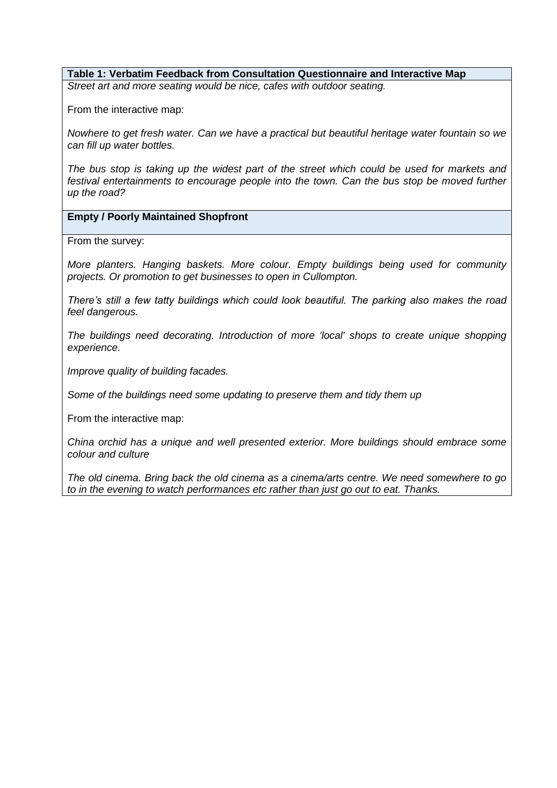*Street art and more seating would be nice, cafes with outdoor seating.*

From the interactive map:

*Nowhere to get fresh water. Can we have a practical but beautiful heritage water fountain so we can fill up water bottles.*

*The bus stop is taking up the widest part of the street which could be used for markets and*  festival entertainments to encourage people into the town. Can the bus stop be moved further *up the road?*

**Empty / Poorly Maintained Shopfront** 

From the survey:

*More planters. Hanging baskets. More colour. Empty buildings being used for community projects. Or promotion to get businesses to open in Cullompton.* 

*There's still a few tatty buildings which could look beautiful. The parking also makes the road feel dangerous.* 

*The buildings need decorating. Introduction of more 'local' shops to create unique shopping experience.*

*Improve quality of building facades.*

*Some of the buildings need some updating to preserve them and tidy them up*

From the interactive map:

*China orchid has a unique and well presented exterior. More buildings should embrace some colour and culture*

*The old cinema. Bring back the old cinema as a cinema/arts centre. We need somewhere to go to in the evening to watch performances etc rather than just go out to eat. Thanks.*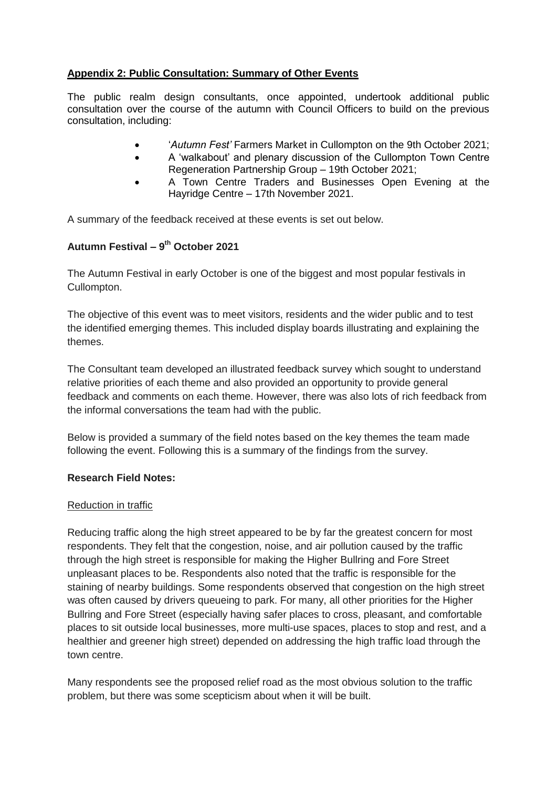# **Appendix 2: Public Consultation: Summary of Other Events**

The public realm design consultants, once appointed, undertook additional public consultation over the course of the autumn with Council Officers to build on the previous consultation, including:

- '*Autumn Fest'* Farmers Market in Cullompton on the 9th October 2021;
- A 'walkabout' and plenary discussion of the Cullompton Town Centre Regeneration Partnership Group – 19th October 2021;
- A Town Centre Traders and Businesses Open Evening at the Hayridge Centre – 17th November 2021.

A summary of the feedback received at these events is set out below.

# **Autumn Festival – 9 th October 2021**

The Autumn Festival in early October is one of the biggest and most popular festivals in Cullompton.

The objective of this event was to meet visitors, residents and the wider public and to test the identified emerging themes. This included display boards illustrating and explaining the themes.

The Consultant team developed an illustrated feedback survey which sought to understand relative priorities of each theme and also provided an opportunity to provide general feedback and comments on each theme. However, there was also lots of rich feedback from the informal conversations the team had with the public.

Below is provided a summary of the field notes based on the key themes the team made following the event. Following this is a summary of the findings from the survey.

# **Research Field Notes:**

## Reduction in traffic

Reducing traffic along the high street appeared to be by far the greatest concern for most respondents. They felt that the congestion, noise, and air pollution caused by the traffic through the high street is responsible for making the Higher Bullring and Fore Street unpleasant places to be. Respondents also noted that the traffic is responsible for the staining of nearby buildings. Some respondents observed that congestion on the high street was often caused by drivers queueing to park. For many, all other priorities for the Higher Bullring and Fore Street (especially having safer places to cross, pleasant, and comfortable places to sit outside local businesses, more multi-use spaces, places to stop and rest, and a healthier and greener high street) depended on addressing the high traffic load through the town centre.

Many respondents see the proposed relief road as the most obvious solution to the traffic problem, but there was some scepticism about when it will be built.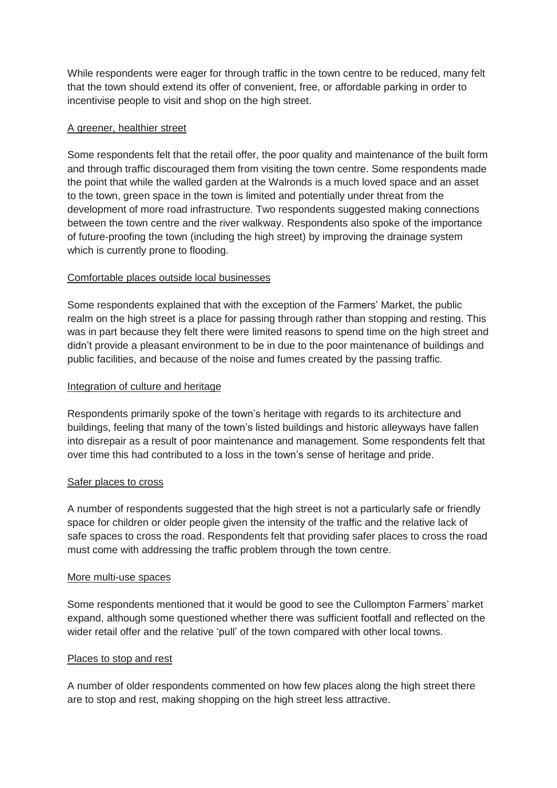While respondents were eager for through traffic in the town centre to be reduced, many felt that the town should extend its offer of convenient, free, or affordable parking in order to incentivise people to visit and shop on the high street.

## A greener, healthier street

Some respondents felt that the retail offer, the poor quality and maintenance of the built form and through traffic discouraged them from visiting the town centre. Some respondents made the point that while the walled garden at the Walronds is a much loved space and an asset to the town, green space in the town is limited and potentially under threat from the development of more road infrastructure. Two respondents suggested making connections between the town centre and the river walkway. Respondents also spoke of the importance of future-proofing the town (including the high street) by improving the drainage system which is currently prone to flooding.

## Comfortable places outside local businesses

Some respondents explained that with the exception of the Farmers' Market, the public realm on the high street is a place for passing through rather than stopping and resting. This was in part because they felt there were limited reasons to spend time on the high street and didn't provide a pleasant environment to be in due to the poor maintenance of buildings and public facilities, and because of the noise and fumes created by the passing traffic.

## Integration of culture and heritage

Respondents primarily spoke of the town's heritage with regards to its architecture and buildings, feeling that many of the town's listed buildings and historic alleyways have fallen into disrepair as a result of poor maintenance and management. Some respondents felt that over time this had contributed to a loss in the town's sense of heritage and pride.

## Safer places to cross

A number of respondents suggested that the high street is not a particularly safe or friendly space for children or older people given the intensity of the traffic and the relative lack of safe spaces to cross the road. Respondents felt that providing safer places to cross the road must come with addressing the traffic problem through the town centre.

#### More multi-use spaces

Some respondents mentioned that it would be good to see the Cullompton Farmers' market expand, although some questioned whether there was sufficient footfall and reflected on the wider retail offer and the relative 'pull' of the town compared with other local towns.

## Places to stop and rest

A number of older respondents commented on how few places along the high street there are to stop and rest, making shopping on the high street less attractive.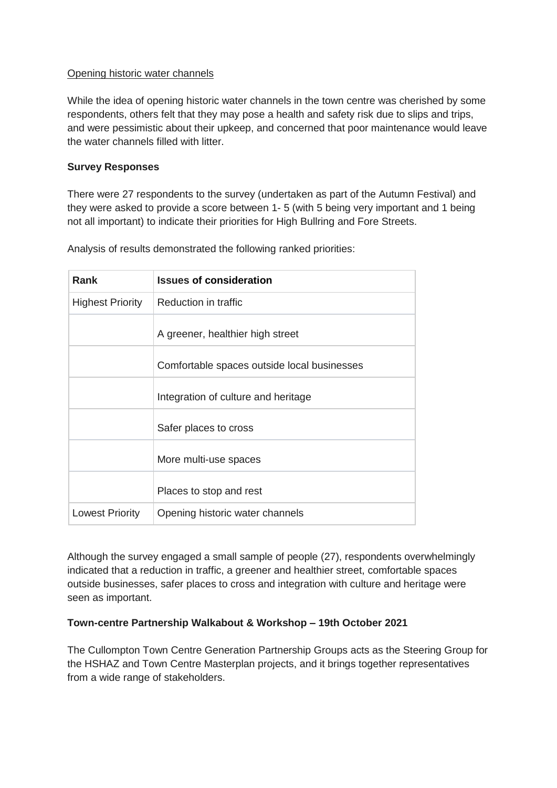## Opening historic water channels

While the idea of opening historic water channels in the town centre was cherished by some respondents, others felt that they may pose a health and safety risk due to slips and trips, and were pessimistic about their upkeep, and concerned that poor maintenance would leave the water channels filled with litter.

## **Survey Responses**

There were 27 respondents to the survey (undertaken as part of the Autumn Festival) and they were asked to provide a score between 1- 5 (with 5 being very important and 1 being not all important) to indicate their priorities for High Bullring and Fore Streets.

**Rank Issues of consideration** Highest Priority  $\vert$  Reduction in traffic A greener, healthier high street Comfortable spaces outside local businesses Integration of culture and heritage Safer places to cross More multi-use spaces Places to stop and rest Lowest Priority | Opening historic water channels

Analysis of results demonstrated the following ranked priorities:

Although the survey engaged a small sample of people (27), respondents overwhelmingly indicated that a reduction in traffic, a greener and healthier street, comfortable spaces outside businesses, safer places to cross and integration with culture and heritage were seen as important.

# **Town-centre Partnership Walkabout & Workshop – 19th October 2021**

The Cullompton Town Centre Generation Partnership Groups acts as the Steering Group for the HSHAZ and Town Centre Masterplan projects, and it brings together representatives from a wide range of stakeholders.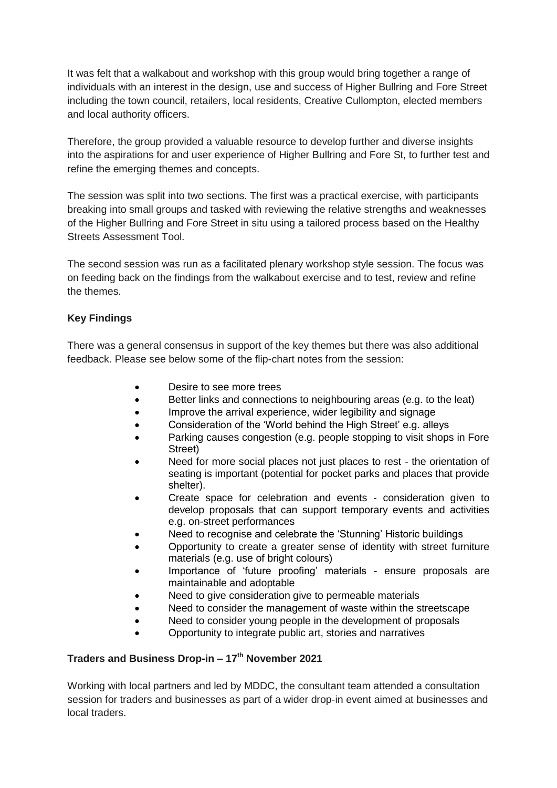It was felt that a walkabout and workshop with this group would bring together a range of individuals with an interest in the design, use and success of Higher Bullring and Fore Street including the town council, retailers, local residents, Creative Cullompton, elected members and local authority officers.

Therefore, the group provided a valuable resource to develop further and diverse insights into the aspirations for and user experience of Higher Bullring and Fore St, to further test and refine the emerging themes and concepts.

The session was split into two sections. The first was a practical exercise, with participants breaking into small groups and tasked with reviewing the relative strengths and weaknesses of the Higher Bullring and Fore Street in situ using a tailored process based on the Healthy Streets Assessment Tool.

The second session was run as a facilitated plenary workshop style session. The focus was on feeding back on the findings from the walkabout exercise and to test, review and refine the themes.

# **Key Findings**

There was a general consensus in support of the key themes but there was also additional feedback. Please see below some of the flip-chart notes from the session:

- Desire to see more trees
- Better links and connections to neighbouring areas (e.g. to the leat)
- Improve the arrival experience, wider legibility and signage
- Consideration of the 'World behind the High Street' e.g. alleys
- Parking causes congestion (e.g. people stopping to visit shops in Fore Street)
- Need for more social places not just places to rest the orientation of seating is important (potential for pocket parks and places that provide shelter).
- Create space for celebration and events consideration given to develop proposals that can support temporary events and activities e.g. on-street performances
- Need to recognise and celebrate the 'Stunning' Historic buildings
- Opportunity to create a greater sense of identity with street furniture materials (e.g. use of bright colours)
- Importance of 'future proofing' materials ensure proposals are maintainable and adoptable
- Need to give consideration give to permeable materials
- Need to consider the management of waste within the streetscape
- Need to consider young people in the development of proposals
- Opportunity to integrate public art, stories and narratives

## **Traders and Business Drop-in – 17th November 2021**

Working with local partners and led by MDDC, the consultant team attended a consultation session for traders and businesses as part of a wider drop-in event aimed at businesses and local traders.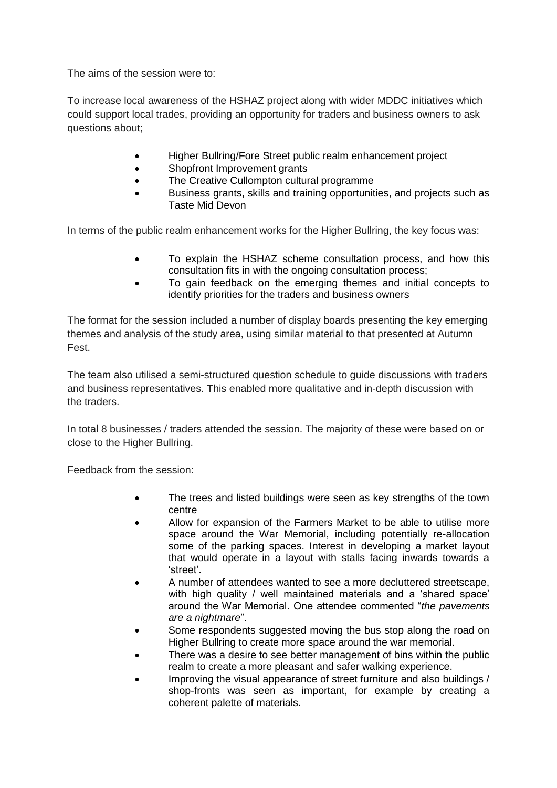The aims of the session were to:

To increase local awareness of the HSHAZ project along with wider MDDC initiatives which could support local trades, providing an opportunity for traders and business owners to ask questions about;

- Higher Bullring/Fore Street public realm enhancement project
- Shopfront Improvement grants
- The Creative Cullompton cultural programme
- Business grants, skills and training opportunities, and projects such as Taste Mid Devon

In terms of the public realm enhancement works for the Higher Bullring, the key focus was:

- To explain the HSHAZ scheme consultation process, and how this consultation fits in with the ongoing consultation process;
- To gain feedback on the emerging themes and initial concepts to identify priorities for the traders and business owners

The format for the session included a number of display boards presenting the key emerging themes and analysis of the study area, using similar material to that presented at Autumn Fest.

The team also utilised a semi-structured question schedule to guide discussions with traders and business representatives. This enabled more qualitative and in-depth discussion with the traders.

In total 8 businesses / traders attended the session. The majority of these were based on or close to the Higher Bullring.

Feedback from the session:

- The trees and listed buildings were seen as key strengths of the town centre
- Allow for expansion of the Farmers Market to be able to utilise more space around the War Memorial, including potentially re-allocation some of the parking spaces. Interest in developing a market layout that would operate in a layout with stalls facing inwards towards a 'street'.
- A number of attendees wanted to see a more decluttered streetscape, with high quality / well maintained materials and a 'shared space' around the War Memorial. One attendee commented "*the pavements are a nightmare*".
- Some respondents suggested moving the bus stop along the road on Higher Bullring to create more space around the war memorial.
- There was a desire to see better management of bins within the public realm to create a more pleasant and safer walking experience.
- Improving the visual appearance of street furniture and also buildings / shop-fronts was seen as important, for example by creating a coherent palette of materials.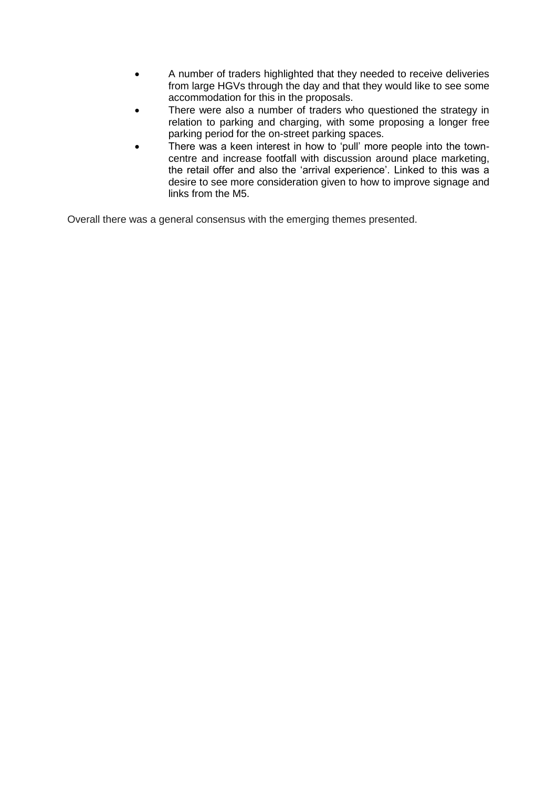- A number of traders highlighted that they needed to receive deliveries from large HGVs through the day and that they would like to see some accommodation for this in the proposals.
- There were also a number of traders who questioned the strategy in relation to parking and charging, with some proposing a longer free parking period for the on-street parking spaces.
- There was a keen interest in how to 'pull' more people into the towncentre and increase footfall with discussion around place marketing, the retail offer and also the 'arrival experience'. Linked to this was a desire to see more consideration given to how to improve signage and links from the M5.

Overall there was a general consensus with the emerging themes presented.